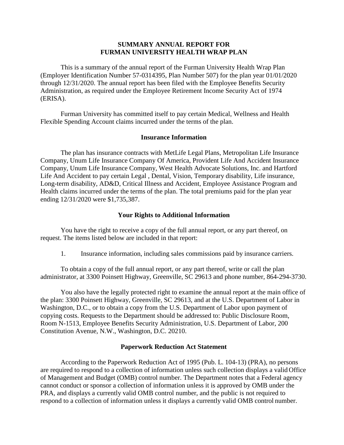## **SUMMARY ANNUAL REPORT FOR FURMAN UNIVERSITY HEALTH WRAP PLAN**

 This is a summary of the annual report of the Furman University Health Wrap Plan (Employer Identification Number 57-0314395, Plan Number 507) for the plan year 01/01/2020 through 12/31/2020. The annual report has been filed with the Employee Benefits Security Administration, as required under the Employee Retirement Income Security Act of 1974 (ERISA).

 Flexible Spending Account claims incurred under the terms of the plan. Furman University has committed itself to pay certain Medical, Wellness and Health

## **Insurance Information**

 The plan has insurance contracts with MetLife Legal Plans, Metropolitan Life Insurance Life And Accident to pay certain Legal , Dental, Vision, Temporary disability, Life insurance, Long-term disability, AD&D, Critical Illness and Accident, Employee Assistance Program and Health claims incurred under the terms of the plan. The total premiums paid for the plan year Company, Unum Life Insurance Company Of America, Provident Life And Accident Insurance Company, Unum Life Insurance Company, West Health Advocate Solutions, Inc. and Hartford ending 12/31/2020 were \$1,735,387.

## **Your Rights to Additional Information**

 You have the right to receive a copy of the full annual report, or any part thereof, on request. The items listed below are included in that report:

1. Insurance information, including sales commissions paid by insurance carriers.

 To obtain a copy of the full annual report, or any part thereof, write or call the plan administrator, at 3300 Poinsett Highway, Greenville, SC 29613 and phone number, 864-294-3730.

 You also have the legally protected right to examine the annual report at the main office of the plan: 3300 Poinsett Highway, Greenville, SC 29613, and at the U.S. Department of Labor in Washington, D.C., or to obtain a copy from the U.S. Department of Labor upon payment of copying costs. Requests to the Department should be addressed to: Public Disclosure Room, Room N-1513, Employee Benefits Security Administration, U.S. Department of Labor, 200 Constitution Avenue, N.W., Washington, D.C. 20210.

## **Paperwork Reduction Act Statement**

 According to the Paperwork Reduction Act of 1995 (Pub. L. 104-13) (PRA), no persons of Management and Budget (OMB) control number. The Department notes that a Federal agency cannot conduct or sponsor a collection of information unless it is approved by OMB under the PRA, and displays a currently valid OMB control number, and the public is not required to respond to a collection of information unless it displays a currently valid OMB control number. are required to respond to a collection of information unless such collection displays a valid Office